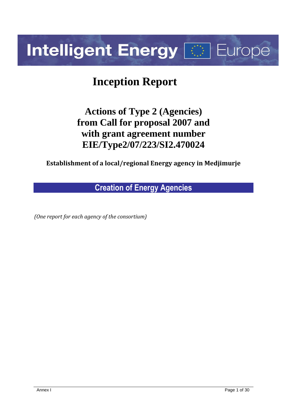# **Intelligent Energy Fight Europe**

# **Inception Report**

# **Actions of Type 2 (Agencies) from Call for proposal 2007 and with grant agreement number EIE/Type2/07/223/SI2.470024**

**Establishment of a local/regional Energy agency in Medjimurje**

**Creation of Energy Agencies**

*(One report for each agency of the consortium)*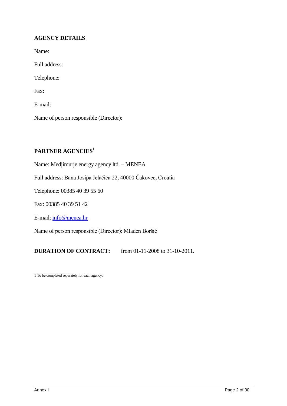# **AGENCY DETAILS**

Name: Full address: Telephone: Fax: E-mail: Name of person responsible (Director):

# **PARTNER AGENCIES<sup>1</sup>**

Name: Medjimurje energy agency ltd. – MENEA

Full address: Bana Josipa Jelačića 22, 40000 Čakovec, Croatia

Telephone: 00385 40 39 55 60

Fax: 00385 40 39 51 42

E-mail[: info@menea.hr](mailto:info@menea.hr)

Name of person responsible (Director): Mladen Boršić

**DURATION OF CONTRACT:** from 01-11-2008 to 31-10-2011.

1 To be completed separately for each agency.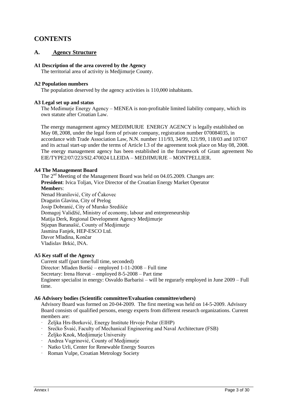# **CONTENTS**

# **A. Agency Structure**

#### **A1 Description of the area covered by the Agency**

The territorial area of activity is Medjimurje County.

#### **A2 Population numbers**

The population deserved by the agency activities is  $110,000$  inhabitants.

#### **A3 Legal set up and status**

The Međimurje Energy Agency – MENEA is non-profitable limited liability company, which its own statute after Croatian Law.

The energy management agency MEDJIMURJE ENERGY AGENCY is legally established on May 08, 2008, under the legal form of private company, registration number 070084035, in accordance with Trade Association Law, N.N. number 111/93, 34/99, 121/99, 118/03 and 107/07 and its actual start-up under the terms of Article I.3 of the agreement took place on May 08, 2008. The energy management agency has been established in the framework of Grant agreement No EIE/TYPE2/07/223/SI2.470024 LLEIDA – MEDJIMURJE – MONTPELLIER.

#### **A4 The Management Board**

The 2<sup>nd</sup> Meeting of the Management Board was held on 04.05.2009. Changes are: **President**: Ivica Toljan, Vice Director of the Croatian Energy Market Operator **Member**s: Nenad Hranilović, City of Čakovec Dragutin Glavina, City of Prelog Josip Dobranić, City of Mursko Središće Domagoj Validžić, Ministry of economy, labour and entrepreneurship Matija Derk, Regional Development Agency Medjimurje Stjepan Baranašić, County of Medjimurje Jasmina Fanjek, HEP-ESCO Ltd. Davor Mladina, Končar Vladislav Brkić, INA.

#### **A5 Key staff of the Agency**

Current staff (part time/full time, seconded) Director: Mladen Boršić – employed 1-11-2008 – Full time Secretary: Irena Horvat – employed 8-5-2008 – Part time Engineer specialist in energy: Osvaldo Barbarisi – will be regurarly employed in June 2009 – Full time.

#### **A6 Advisory bodies (Scientific committee/Evaluation committee/others)**

Advisory Board was formed on 20-04-2009. The first meeting was held on 14-5-2009. Advisory Board consists of qualified persons, energy experts from different research organizations. Current members are:

- · Željka Hrs-Borković, Energy Institute Hrvoje Požar (EIHP)
- · Srećko Švaić, Faculty of Mechanical Engineering and Naval Architecture (FSB)
- · Željko Knok, Medjimurje University
- · Andrea Vugrinović, County of Medjimurje
- · Natko Urli, Center for Renewable Energy Sources
- · Roman Vulpe, Croatian Metrology Society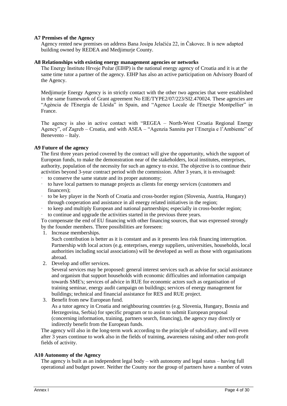#### **A7 Premises of the Agency**

Agency rented new premises on address Bana Josipa Jelačića 22, in Čakovec. It is new adapted building owned by REDEA and Medjimurje County.

#### **A8 Relationships with existing energy management agencies or networks**

The Energy Institute Hrvoje Požar (EIHP) is the national energy agency of Croatia and it is at the same time tutor a partner of the agency. EIHP has also an active participation on Advisory Board of the Agency.

Medjimurje Energy Agency is in strictly contact with the other two agencies that were established in the same framework of Grant agreement No EIE/TYPE2/07/223/SI2.470024. These agencies are "Agència de l'Energia de Lleida" in Spain, and "Agence Locale de l'Energie Montpellier" in France.

The agency is also in active contact with "REGEA – North-West Croatia Regional Energy Agency", of Zagreb – Croatia, and with ASEA – "Agenzia Sannita per l'Energia e l'Ambiente" of Benevento – Italy.

#### **A9 Future of the agency**

The first three years period covered by the contract will give the opportunity, which the support of European funds, to make the demonstration near of the stakeholders, local institutes, enterprises, authority, population of the necessity for such an agency to exist. The objective is to continue their activities beyond 3-year contract period with the commission. After 3 years, it is envisaged:

- to conserve the same statute and its proper autonomy;
- · to have local partners to manage projects as clients for energy services (customers and financers);
- · to be key player in the North of Croatia and cross-border region (Slovenia, Austria, Hungary) through cooperation and assistance in all energy related initiatives in the region;
- · to keep and multiply European and national partnerships; especially in cross-border region;
- · to continue and upgrade the activities started in the previous three years.

To compensate the end of EU financing with other financing sources, that was expressed strongly by the founder members. Three possibilities are foreseen:

1. Increase memberships.

Such contribution is better as it is constant and as it presents less risk financing interruption. Partnership with local actors (e.g. enterprises, energy suppliers, universities, households, local authorities including social associations) will be developed as well as those with organisations abroad.

2. Develop and offer services.

Several services may be proposed: general interest services such as advise for social assistance and organism that support households with economic difficulties and information campaign towards SME's; services of advice in RUE for economic actors such as organisation of training seminar, energy audit campaign on buildings; services of energy management for buildings; technical and financial assistance for RES and RUE project.

3. Benefit from new European fund.

As a tutor agency in Croatia and neighbouring countries (e.g. Slovenia, Hungary, Bosnia and Herzegovina, Serbia) for specific program or to assist to submit European proposal (concerning information, training, partners search, financing), the agency may directly or indirectly benefit from the European funds.

The agency will also in the long-term work according to the principle of subsidiary, and will even after 3 years continue to work also in the fields of training, awareness raising and other non-profit fields of activity.

#### **A10 Autonomy of the Agency**

The agency is built as an independent legal body – with autonomy and legal status – having full operational and budget power. Neither the County nor the group of partners have a number of votes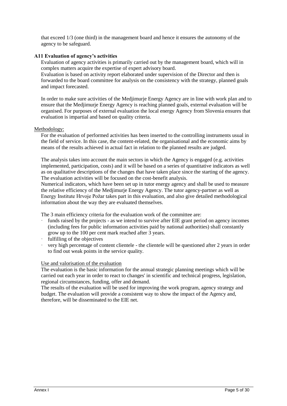that exceed 1/3 (one third) in the management board and hence it ensures the autonomy of the agency to be safeguard.

#### **A11 Evaluation of agency's activities**

Evaluation of agency activities is primarily carried out by the management board, which will in complex matters acquire the expertise of expert advisory board.

Evaluation is based on activity report elaborated under supervision of the Director and then is forwarded to the board committee for analysis on the consistency with the strategy, planned goals and impact forecasted.

In order to make sure activities of the Medjimurje Energy Agency are in line with work plan and to ensure that the Medjimurje Energy Agency is reaching planned goals, external evaluation will be organised. For purposes of external evaluation the local energy Agency from Slovenia ensures that evaluation is impartial and based on quality criteria.

#### Methodology:

For the evaluation of performed activities has been inserted to the controlling instruments usual in the field of service. In this case, the content-related, the organisational and the economic aims by means of the results achieved in actual fact in relation to the planned results are judged.

The analysis takes into account the main sectors in which the Agency is engaged (e.g. activities implemented, participation, costs) and it will be based on a series of quantitative indicators as well as on qualitative descriptions of the changes that have taken place since the starting of the agency. The evaluation activities will be focused on the cost-benefit analysis.

Numerical indicators, which have been set up in tutor energy agency and shall be used to measure the relative efficiency of the Medjimurje Energy Agency. The tutor agency-partner as well as Energy Institute Hrvoje Požar takes part in this evaluation, and also give detailed methodological information about the way they are evaluated themselves.

The 3 main efficiency criteria for the evaluation work of the committee are:

- funds raised by the projects as we intend to survive after EIE grant period on agency incomes (including fees for public information activities paid by national authorities) shall constantly grow up to the 100 per cent mark reached after 3 years.
- · fulfilling of the objectives
- very high percentage of content clientele the clientele will be questioned after 2 years in order to find out weak points in the service quality.

#### Use and valorisation of the evaluation

The evaluation is the basic information for the annual strategic planning meetings which will be carried out each year in order to react to changes' in scientific and technical progress, legislation, regional circumstances, funding, offer and demand.

The results of the evaluation will be used for improving the work program, agency strategy and budget. The evaluation will provide a consistent way to show the impact of the Agency and, therefore, will be disseminated to the EIE net.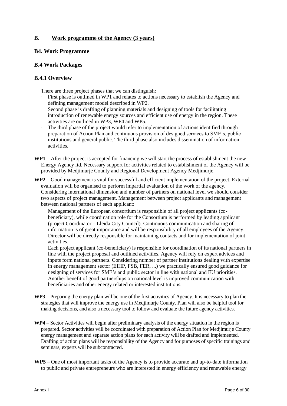# **B. Work programme of the Agency (3 years)**

# **B4. Work Programme**

# **B.4 Work Packages**

# **B.4.1 Overview**

There are three project phases that we can distinguish:

- First phase is outlined in WP1 and relates to actions necessary to establish the Agency and defining management model described in WP2.
- Second phase is drafting of planning materials and designing of tools for facilitating introduction of renewable energy sources and efficient use of energy in the region. These activities are outlined in WP3, WP4 and WP5.
- The third phase of the project would refer to implementation of actions identified through preparation of Action Plan and continuous provision of designed services to SME's, public institutions and general public. The third phase also includes dissemination of information activities.
- **WP1** After the project is accepted for financing we will start the process of establishment the new Energy Agency ltd. Necessary support for activities related to establishment of the Agency will be provided by Medjimurje County and Regional Development Agency Medjimurje.
- **WP2** Good management is vital for successful and efficient implementation of the project. External evaluation will be organised to perform impartial evaluation of the work of the agency. Considering international dimension and number of partners on national level we should consider two aspects of project management. Management between project applicants and management between national partners of each applicant:
	- Management of the European consortium is responsible of all project applicants (cobeneficiary), while coordination role for the Consortium is performed by leading applicant (project Coordinator – Lleida City Council). Continuous communication and sharing of information is of great importance and will be responsibility of all employees of the Agency. Director will be directly responsible for maintaining contacts and for implementation of joint activities.
	- Each project applicant (co-beneficiary) is responsible for coordination of its national partners in line with the project proposal and outlined activities. Agency will rely on expert advices and inputs form national partners. Considering number of partner institutions dealing with expertise in energy management sector (EIHP, FSB, FER, ...) we practically ensured good guidance for designing of services for SME's and public sector in line with national and EU priorities. Another benefit of good partnerships on national level is improved communication with beneficiaries and other energy related or interested institutions.
- **WP3** Preparing the energy plan will be one of the first activities of Agency. It is necessary to plan the strategies that will improve the energy use in Medjimurje County. Plan will also be helpful tool for making decisions, and also a necessary tool to follow and evaluate the future agency activities.
- **WP4** Sector Activities will begin after preliminary analysis of the energy situation in the region is prepared. Sector activities will be coordinated with preparation of Action Plan for Medjimurje County energy management and separate action plans for each activity will be drafted and implemented. Drafting of action plans will be responsibility of the Agency and for purposes of specific trainings and seminars, experts will be subcontracted.
- **WP5** One of most important tasks of the Agency is to provide accurate and up-to-date information to public and private entrepreneurs who are interested in energy efficiency and renewable energy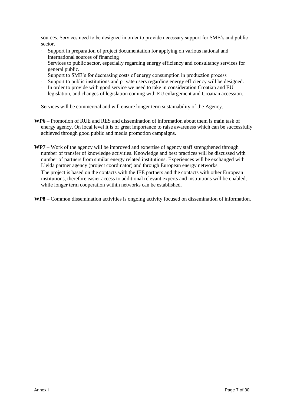sources. Services need to be designed in order to provide necessary support for SME's and public sector.

- Support in preparation of project documentation for applying on various national and international sources of financing
- Services to public sector, especially regarding energy efficiency and consultancy services for general public.
- Support to SME's for decreasing costs of energy consumption in production process
- Support to public institutions and private users regarding energy efficiency will be designed.
- · In order to provide with good service we need to take in consideration Croatian and EU legislation, and changes of legislation coming with EU enlargement and Croatian accession.

Services will be commercial and will ensure longer term sustainability of the Agency.

- **WP6**  Promotion of RUE and RES and dissemination of information about them is main task of energy agency. On local level it is of great importance to raise awareness which can be successfully achieved through good public and media promotion campaigns.
- **WP7** Work of the agency will be improved and expertise of agency staff strengthened through number of transfer of knowledge activities. Knowledge and best practices will be discussed with number of partners from similar energy related institutions. Experiences will be exchanged with Lleida partner agency (project coordinator) and through European energy networks. The project is based on the contacts with the IEE partners and the contacts with other European institutions, therefore easier access to additional relevant experts and institutions will be enabled, while longer term cooperation within networks can be established.
- **WP8**  Common dissemination activities is ongoing activity focused on dissemination of information.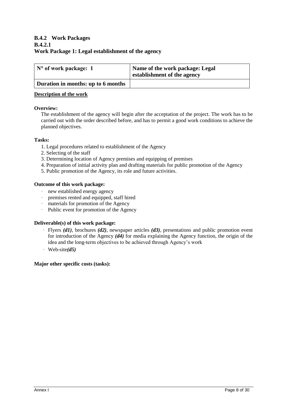# **B.4.2 Work Packages B.4.2.1 Work Package 1: Legal establishment of the agency**

| $\mathsf{N}^\circ$ of work package: 1 | Name of the work package: Legal<br>establishment of the agency |  |  |  |  |  |
|---------------------------------------|----------------------------------------------------------------|--|--|--|--|--|
| Duration in months: up to 6 months    |                                                                |  |  |  |  |  |

#### **Description of the work**

#### **Overview:**

The establishment of the agency will begin after the acceptation of the project. The work has to be carried out with the order described before, and has to permit a good work conditions to achieve the planned objectives.

#### **Tasks:**

- 1. Legal procedures related to establishment of the Agency
- 2. Selecting of the staff
- 3. Determining location of Agency premises and equipping of premises
- 4. Preparation of initial activity plan and drafting materials for public promotion of the Agency
- 5. Public promotion of the Agency, its role and future activities.

#### **Outcome of this work package:**

- · new established energy agency
- · premises rented and equipped, staff hired
- · materials for promotion of the Agency
- · Public event for promotion of the Agency

#### **Deliverable(s) of this work package:**

- · Flyers *(d1)*, brochures *(d2)*, newspaper articles *(d3)*, presentations and public promotion event for introduction of the Agency *(d4)* for media explaining the Agency function, the origin of the idea and the long-term objectives to be achieved through Agency's work
- · Web-site*(d5)*

#### **Major other specific costs (tasks):**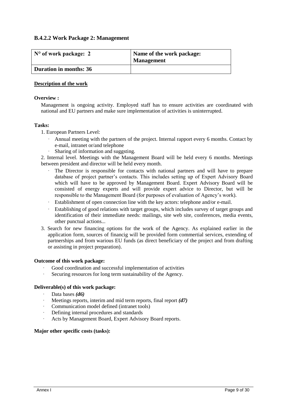# **B.4.2.2 Work Package 2: Management**

| N° of work package: 2  | Name of the work package:<br><b>Management</b> |  |  |  |  |  |
|------------------------|------------------------------------------------|--|--|--|--|--|
| Duration in months: 36 |                                                |  |  |  |  |  |

#### **Description of the work**

#### **Overview :**

Management is ongoing activity. Employed staff has to ensure activities are coordinated with national and EU partners and make sure implementation of activities is uninterrupted.

#### **Tasks:**

- 1. European Partners Level:
	- Annual meeting with the partners of the project. Internal rapport every 6 months. Contact by e-mail, intranet or/and telephone
	- Sharing of information and suggsting.

2. Internal level. Meetings with the Management Board will be held every 6 months. Meetings between president and director will be held every month.

- · The Director is responsible for contacts with national partners and will have to prepare database of project partner's contacts. This includes setting up of Expert Advisory Board which will have to be approved by Management Board. Expert Advisory Board will be consisted of energy experts and will provide expert advice to Director, but will be responsible to the Management Board (for purposes of evaluation of Agency's work).
- Establishment of open connection line with the key actors: telephone and/or e-mail.
- Establishing of good relations with target groups, which includes survey of target groups and identification of their immediate needs: mailings, site web site, conferences, media events, other punctual actions...
- 3. Search for new financing options for the work of the Agency. As explained earlier in the application form, sources of financig will be provided form commertial services, extending of partnerships and from warious EU funds (as direct beneficiary of the project and from drafting or assisting in project preparation).

#### **Outcome of this work package:**

- Good coordination and successful implementation of activities
- Securing resources for long term sustainability of the Agency.

#### **Deliverable(s) of this work package:**

- · Data bases *(d6)*
- Meetings reports, interim and mid term reports, final report (d7)
- Communication model defined (intranet tools)
- Defining internal procedures and standards
- Acts by Management Board, Expert Advisory Board reports.

#### **Major other specific costs (tasks):**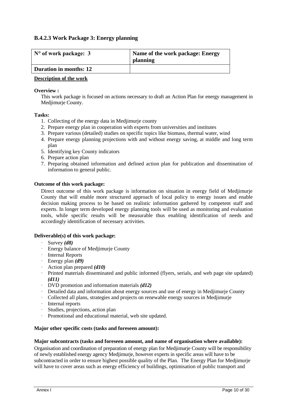# **B.4.2.3 Work Package 3: Energy planning**

| $\mathbb{N}^{\circ}$ of work package: 3 | Name of the work package: Energy<br>planning |  |  |  |  |  |  |
|-----------------------------------------|----------------------------------------------|--|--|--|--|--|--|
| <b>Duration in months: 12</b>           |                                              |  |  |  |  |  |  |

#### **Description of the work**

#### **Overview :**

This work package is focused on actions necessary to draft an Action Plan for energy management in Medjimurje County.

#### **Tasks:**

- 1. Collecting of the energy data in Medjimurje county
- 2. Prepare energy plan in cooperation with experts from universities and institutes
- 3. Prepare various (detailed) studies on specific topics like biomass, thermal water, wind
- 4. Prepare energy planning projections with and without energy saving, at middle and long term plan
- 5. Identifying key County indicators
- 6. Prepare action plan
- 7. Preparing obtained information and defined action plan for publication and dissemination of information to general public.

#### **Outcome of this work package:**

Direct outcome of this work package is information on situation in energy field of Medjimurje County that will enable more structured approach of local policy to energy issues and enable decision making process to be based on realistic information gathered by competent staff and experts. In longer term developed energy planning tools will be used as monitoring and evaluation tools, while specific results will be measurable thus enabling identification of needs and accordingly identification of necessary activities.

#### **Deliverable(s) of this work package:**

- · Survey *(d8)*
- · Energy balance of Medjimurje County
- · Internal Reports
- · Energy plan *(d9)*
- · Action plan prepared *(d10)*
- · Printed materials disseminated and public informed (flyers, serials, and web page site updated) *(d11)*
- · DVD promotion and information materials *(d12)*
- · Detailed data and information about energy sources and use of energy in Medjimurje County
- · Collected all plans, strategies and projects on renewable energy sources in Medjimurje
- · Internal reports
- Studies, projections, action plan
- Promotional and educational material, web site updated.

#### **Major other specific costs (tasks and foreseen amount):**

#### **Major subcontracts (tasks and foreseen amount, and name of organisation where available):**

Organisation and coordination of preparation of energy plan for Medjimurje County will be responsibility of newly established energy agency Medjimurje, however experts in specific areas will have to be subcontracted in order to ensure highest possible quality of the Plan. The Energy Plan for Medjimurje will have to cover areas such as energy efficiency of buildings, optimisation of public transport and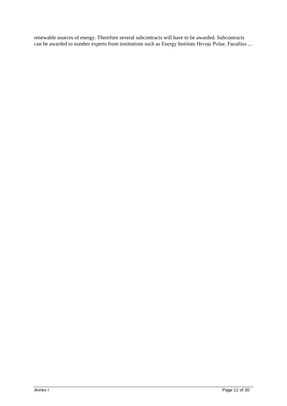renewable sources of energy. Therefore several subcontracts will have to be awarded. Subcontracts can be awarded to number experts from institutions such as Energy Institute Hrvoje Požar, Faculties ...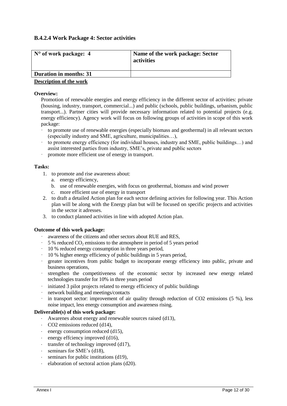# **B.4.2.4 Work Package 4: Sector activities**

| $\vert$ N° of work package: 4 | Name of the work package: Sector<br>activities |
|-------------------------------|------------------------------------------------|
| Duration in months: 31        |                                                |
|                               |                                                |

#### **Description of the work**

#### **Overview:**

Promotion of renewable energies and energy efficiency in the different sector of activities: private (housing, industry, transport, commercial...) and public (schools, public buildings, urbanism, public transport...). Partner cities will provide necessary information related to potential projects (e.g. energy efficiency). Agency work will focus on following groups of activities in scope of this work package:

- · to promote use of renewable energies (especially biomass and geothermal) in all relevant sectors (especially industry and SME, agriculture, municipalities…),
- · to promote energy efficiency (for individual houses, industry and SME, public buildings…) and assist interested parties from industry, SME's, private and public sectors
- promote more efficient use of energy in transport.

#### **Tasks:**

- 1. to promote and rise awareness about:
	- a. energy efficiency,
	- b. use of renewable energies, with focus on geothermal, biomass and wind prower
	- c. more efficient use of energy in transport
- 2. to draft a detailed Action plan for each sector defining activies for following year. This Action plan will be along with the Energy plan but will be focused on specific projects and activities in the sector it adresses.
- 3. to conduct planned activities in line with adopted Action plan.

#### **Outcome of this work package:**

· awareness of the citizens and other sectors about RUE and RES,

- $5\%$  reduced CO<sub>2</sub> emissions to the atmosphere in period of  $5$  years period
- · 10 % reduced energy consumption in three years period,
- · 10 % higher energy efficiency of public buildings in 5 years period,
- greater incentives from public budget to incorporate energy efficiency into public, private and business operations,
- · strengthen the competitiveness of the economic sector by increased new energy related technologies transfer for 10% in three years period
- initiated 3 pilot projects related to energy efficiency of public buildings
- network building and meetings/contacts
- in transport sector: improvement of air quality through reduction of  $CO2$  emissions (5 %), less noise impact, less energy consumption and awareness rising.

#### **Deliverable(s) of this work package:**

- Awarenes about energy and renewable sources raised (d13),
- CO2 emissions reduced (d14),
- energy consumption reduced  $(d15)$ ,
- energy effciency improved  $(d16)$ ,
- $\cdot$  transfer of technology improved (d17),
- seminars for SME's (d18),
- seminars for public institutions (d19),
- elaboration of sectoral action plans (d20).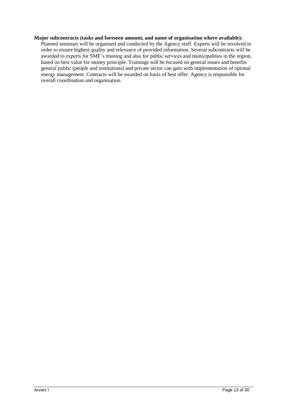#### **Major subcontracts (tasks and foreseen amount, and name of organisation where available):**

Planned seminars will be organised and conducted by the Agency staff. Experts will be involved in order to ensure highest quality and relevance of provided information. Several subcontracts will be awarded to experts for SME's training and also for public services and municipalities in the region, based on best value for money principle. Trainings will be focused on general issues and benefits general public (people and institutions) and private sector can gain with implementation of optimal energy management. Contracts will be awarded on basis of best offer. Agency is responsible for overall coordination and organisation.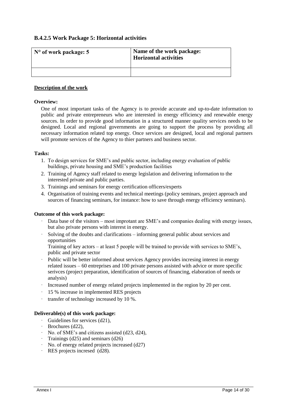# **B.4.2.5 Work Package 5: Horizontal activities**

| $\vert$ N° of work package: 5 | Name of the work package:<br><b>Horizontal activities</b> |
|-------------------------------|-----------------------------------------------------------|
|                               |                                                           |

#### **Description of the work**

#### **Overview:**

One of most important tasks of the Agency is to provide accurate and up-to-date information to public and private entrepreneurs who are interested in energy efficiency and renewable energy sources. In order to provide good information in a structured manner quality services needs to be designed. Local and regional governments are going to support the process by providing all necessary information related top energy. Once services are designed, local and regional partners will promote services of the Agency to thier partners and business sector.

#### **Tasks:**

- 1. To design services for SME's and public sector, including energy evaluation of public buildings, private housing and SME's production facilities
- 2. Training of Agency staff related to energy legislation and delivering information to the interested private and public parties.
- 3. Trainings and seminars for energy certification officers/experts
- 4. Organisation of training events and technical meetings (policy seminars, project approach and sources of financing seminars, for instance: how to save through energy efficiency seminars).

#### **Outcome of this work package:**

- Data base of the visitors most improtant are SME's and companies dealing with energy issues, but also private persons with interest in energy.
- Solving of the doubts and clarifications informing general public about services and opportunities

Training of key actors – at least 5 people will be trained to provide with services to SME's, public and private sector

- Public will be better informed about services Agency provides incresing interest in energy related issues – 60 entreprises and 100 private persons assisted with advice or more specific serivces (project preparation, identification of sources of financing, elaboration of needs or analysis)
- Increased number of energy related projects implemented in the region by 20 per cent.
- 15 % increase in implemented RES projects
- transfer of technology increased by 10 %.

#### **Deliverable(s) of this work package:**

- · Guidelines for services (d21),
- · Brochures (d22),
- · No. of SME's and citizens assisted (d23, d24),
- · Trainings (d25) and seminars (d26)
- · No. of energy related projects increased (d27)
- RES projects incresed (d28).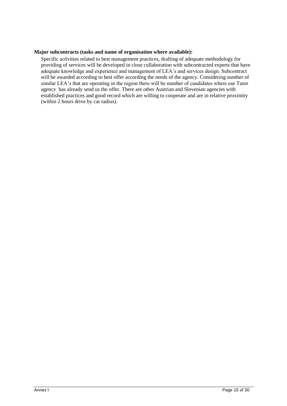#### **Major subcontracts (tasks and name of organisation where available):**

Specific activities related to best management practices, drafting of adequate methodology for providing of services will be developed in close collaboration with subcontracted experts that have adequate knowledge and experience and management of LEA's and services design. Subcontract will be awarded according to best offer according the needs of the agency. Considering number of similar LEA's that are operating in the region there will be number of candidates where our Tutor agency has already send us the offer. There are other Austrian and Slovenian agencies with established practices and good record which are willing to cooperate and are in relative proximity (within 2 hours drive by car radius).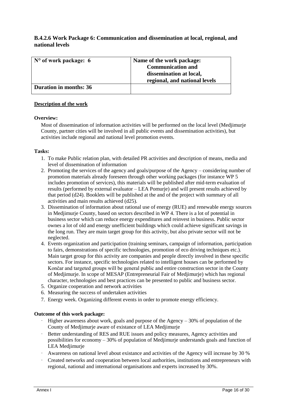# **B.4.2.6 Work Package 6: Communication and dissemination at local, regional, and national levels**

| $\vert$ N° of work package: 6 | Name of the work package:     |
|-------------------------------|-------------------------------|
|                               | <b>Communication and</b>      |
|                               | dissemination at local,       |
|                               | regional, and national levels |
| Duration in months: 36        |                               |

#### **Description of the work**

#### **Overview:**

Most of dissemination of information activities will be performed on the local level (Medjimurje County, partner cities will be involved in all public events and dissemination activities), but activities include regional and national level promotion events.

#### **Tasks:**

- 1. To make Public relation plan, with detailed PR activities and description of means, media and level of dissemination of information
- 2. Promoting the services of the agency and goals/purpose of the Agency considering number of promotion materials already foreseen through other working packages (for instance WP 5 includes promotion of services), this materials will be published after mid-term evaluation of results (performed by external evaluator – LEA Pomurje) and will present results achieved by that period (d24). Booklets will be published at the and of the project with summary of all activities and main results achieved (d25).
- 3. Dissemination of information about rational use of energy (RUE) and renewable energy sources in Medjimurje County, based on sectors described in WP 4. There is a lot of potential in business sector which can reduce energy expenditures and reinvest in business. Public sector ownes a lot of old and energy unefficient buildings which could achieve significant savings in the long run. They are main target group for this activity, but also private sector will not be neglected.
- 4. Events organization and participation (training seminars, campaign of information, participation to fairs, demonstrations of specific technologies, promotion of eco driving techniques etc.). Main target group for this activity are companies and people directly involved in these specific sectors. For instance, specific technologies related to intelligent houses can be performed by Končar and targeted groups will be general public and entire construction sector in the County of Medjimurje. In scope of MESAP (Entrepreneurial Fair of Medjimurje) which has regional character, technologies and best practices can be presented to public and business sector.
- 5. Organize cooperation and network activities
- 6. Measuring the success of undertaken activities
- 7. Energy week. Organizing different events in order to promote energy efficiency.

#### **Outcome of this work package:**

- $\cdot$  Higher awareness about work, goals and purpose of the Agency 30% of population of the County of Medjimurje aware of existance of LEA Medjimurje
- · Better understanding of RES and RUE issues and policy measures, Agency activities and possibilities for economy – 30% of population of Medjimurje understands goals and function of LEA Medjimurje
- · Awareness on national level about existance and activities of the Agency will increase by 30 %
- · Created networks and cooperation between local authorities, institutions and entrepreneurs with regional, national and international organisations and experts increased by 30%.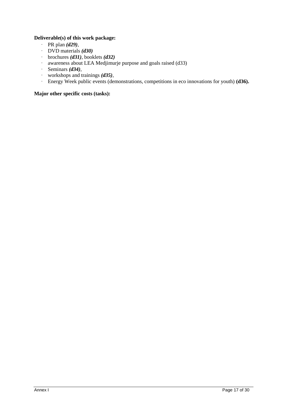# **Deliverable(s) of this work package:**

- · PR plan *(d29)*,
- · DVD materials *(d30)*
- · brochures *(d31)*, booklets *(d32)*
- · awareness about LEA Medjimurje purpose and goals raised (d33)
- · Seminars *(d34)*,
- · workshops and trainings *(d35)*,
- · Energy Week public events (demonstrations, competitions in eco innovations for youth) **(d36).**

# **Major other specific costs (tasks):**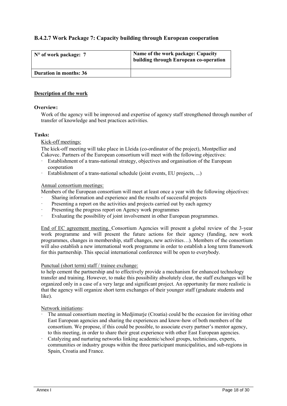# **B.4.2.7 Work Package 7: Capacity building through European cooperation**

| $N^{\circ}$ of work package: 7 | Name of the work package: Capacity<br>building through European co-operation |  |  |  |  |  |
|--------------------------------|------------------------------------------------------------------------------|--|--|--|--|--|
| <b>Duration in months: 36</b>  |                                                                              |  |  |  |  |  |

#### **Description of the work**

#### **Overview:**

Work of the agency will be improved and expertise of agency staff strengthened through number of transfer of knowledge and best practices activities.

#### **Tasks:**

#### Kick-off meetings:

The kick-off meeting will take place in Lleida (co-ordinator of the project), Montpellier and Čakovec. Partners of the European consortium will meet with the following objectives:

- Establishment of a trans-national strategy, objectives and organisation of the European cooperation
- Establishment of a trans-national schedule (joint events, EU projects, ...)

#### Annual consortium meetings:

Members of the European consortium will meet at least once a year with the following objectives:

- Sharing information and experience and the results of successful projects
- Presenting a report on the activities and projects carried out by each agency
- Presenting the progress report on Agency work programmes
- Evaluating the possibility of joint involvement in other European programmes.

End of EC agreement meeting. Consortium Agencies will present a global review of the 3-year work programme and will present the future actions for their agency (funding, new work programmes, changes in membership, staff changes, new activities…). Members of the consortium will also establish a new international work programme in order to establish a long term framework for this partnership. This special international conference will be open to everybody.

#### Punctual (short term) staff / trainee exchange:

to help cement the partnership and to effectively provide a mechanism for enhanced technology transfer and training. However, to make this possibility absolutely clear, the staff exchanges will be organized only in a case of a very large and significant project. An opportunity far more realistic is that the agency will organize short term exchanges of their younger staff (graduate students and like).

#### Network initiations:

- · The annual consortium meeting in Medjimurje (Croatia) could be the occasion for inviting other East European agencies and sharing the experiences and know-how of both members of the consortium. We propose, if this could be possible, to associate every partner's mentor agency, to this meeting, in order to share their great experience with other East European agencies.
- Catalyzing and nurturing networks linking academic/school groups, technicians, experts, communities or industry groups within the three participant municipalities, and sub-regions in Spain, Croatia and France.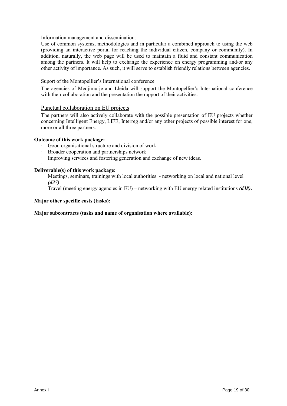#### Information management and dissemination:

Use of common systems, methodologies and in particular a combined approach to using the web (providing an interactive portal for reaching the individual citizen, company or community). In addition, naturally, the web page will be used to maintain a fluid and constant communication among the partners. It will help to exchange the experience on energy programming and/or any other activity of importance. As such, it will serve to establish friendly relations between agencies.

#### Suport of the Montopellier's International conference

The agencies of Medjimurje and Lleida will support the Montopellier's International conference with their collaboration and the presentation the rapport of their activities.

#### Punctual collaboration on EU projects

The partners will also actively collaborate with the possible presentation of EU projects whether concerning Intelligent Energy, LIFE, Interreg and/or any other projects of possible interest for one, more or all three partners.

#### **Outcome of this work package:**

- · Good organisational structure and division of work
- · Broader cooperation and partnerships network
- Improving services and fostering generation and exchange of new ideas.

#### · **Deliverable(s) of this work package:**

- · Meetings, seminars, trainings with local authorities networking on local and national level *(d37)*
- · Travel (meeting energy agencies in EU) networking with EU energy related institutions *(d38)***.**

#### **Major other specific costs (tasks):**

#### **Major subcontracts (tasks and name of organisation where available):**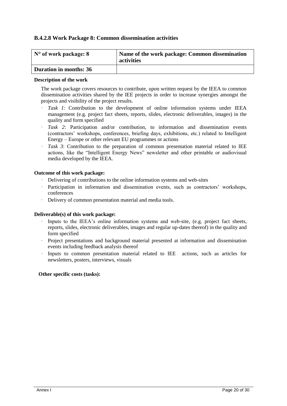# **B.4.2.8 Work Package 8: Common dissemination activities**

| $\vert$ N° of work package: 8 | Name of the work package: Common dissemination<br>activities |
|-------------------------------|--------------------------------------------------------------|
| <b>Duration in months: 36</b> |                                                              |

#### **Description of the work**

The work package covers resources to contribute, upon written request by the IEEA to common dissemination activities shared by the IEE projects in order to increase synergies amongst the projects and visibility of the project results.

- Task 1: Contribution to the development of online information systems under IEEA management (e.g. project fact sheets, reports, slides, electronic deliverables, images) in the quality and form specified
- Task 2: Participation and/or contribution, to information and dissemination events (contractors' workshops, conferences, briefing days, exhibitions, etc.) related to Intelligent Energy – Europe or other relevant EU programmes or actions
- Task 3: Contribution to the preparation of common presentation material related to IEE actions, like the "Intelligent Energy News" newsletter and other printable or audiovisual media developed by the IEEA.

#### **Outcome of this work package:**

- · Delivering of contributions to the online information systems and web-sites
- · Participation in information and dissemination events, such as contractors' workshops, conferences
- · Delivery of common presentation material and media tools.

#### **Deliverable(s) of this work package:**

- Inputs to the IEEA's online information systems and web-site, (e.g. project fact sheets, reports, slides, electronic deliverables, images and regular up-dates thereof) in the quality and form specified
- · Project presentations and background material presented at information and dissemination events including feedback analysis thereof
- Inputs to common presentation material related to IEE actions, such as articles for newsletters, posters, interviews, visuals

#### **Other specific costs (tasks):**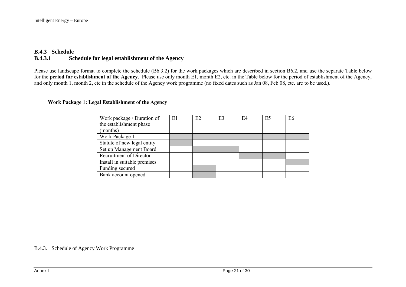# **B.4.3 Schedule B.4.3.1 Schedule for legal establishment of the Agency**

Please use landscape format to complete the schedule (B6.3.2) for the work packages which are described in section B6.2, and use the separate Table below for the **period for establishment of the Agency**. Please use only month E1, month E2, etc. in the Table below for the period of establishment of the Agency, and only month 1, month 2, etc in the schedule of the Agency work programme (no fixed dates such as Jan 08, Feb 08, etc. are to be used.).

#### **Work Package 1: Legal Establishment of the Agency**

| Work package / Duration of     | E1 | E2 | E3 | E4 | E <sub>5</sub> | E <sub>6</sub> |
|--------------------------------|----|----|----|----|----------------|----------------|
| the establishment phase        |    |    |    |    |                |                |
| (months)                       |    |    |    |    |                |                |
| Work Package 1                 |    |    |    |    |                |                |
| Statute of new legal entity    |    |    |    |    |                |                |
| Set up Management Board        |    |    |    |    |                |                |
| <b>Recruitment of Director</b> |    |    |    |    |                |                |
| Install in suitable premises   |    |    |    |    |                |                |
| Funding secured                |    |    |    |    |                |                |
| Bank account opened            |    |    |    |    |                |                |

B.4.3. Schedule of Agency Work Programme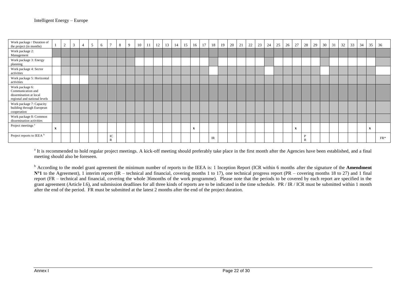| Work package / Duration of<br>the project (in months)                                          |              | ∸ | $\overline{3}$ | 5 | 6 |         | 8 | 9 | 10 | 11 | 12 | 13 | 14 | 15 | 16           | 17 | 18 | 19 | 20 | 21 | 22 | 23 | 24 | 25 | 26 | 27           | 28     | 29 | 30 | 31 | 32 | 33 | 34 | 35           | 36    |
|------------------------------------------------------------------------------------------------|--------------|---|----------------|---|---|---------|---|---|----|----|----|----|----|----|--------------|----|----|----|----|----|----|----|----|----|----|--------------|--------|----|----|----|----|----|----|--------------|-------|
| Work package 2:<br>Management                                                                  |              |   |                |   |   |         |   |   |    |    |    |    |    |    |              |    |    |    |    |    |    |    |    |    |    |              |        |    |    |    |    |    |    |              |       |
| Work package 3: Energy<br>planning                                                             |              |   |                |   |   |         |   |   |    |    |    |    |    |    |              |    |    |    |    |    |    |    |    |    |    |              |        |    |    |    |    |    |    |              |       |
| Work package 4: Sector<br>activities                                                           |              |   |                |   |   |         |   |   |    |    |    |    |    |    |              |    |    |    |    |    |    |    |    |    |    |              |        |    |    |    |    |    |    |              |       |
| Work package 5: Horizontal<br>activities                                                       |              |   |                |   |   |         |   |   |    |    |    |    |    |    |              |    |    |    |    |    |    |    |    |    |    |              |        |    |    |    |    |    |    |              |       |
| Work package 6:<br>Communication and<br>dissemination at local<br>regional and national levels |              |   |                |   |   |         |   |   |    |    |    |    |    |    |              |    |    |    |    |    |    |    |    |    |    |              |        |    |    |    |    |    |    |              |       |
| Work package 7: Capacity<br>building through European<br>cooperation                           |              |   |                |   |   |         |   |   |    |    |    |    |    |    |              |    |    |    |    |    |    |    |    |    |    |              |        |    |    |    |    |    |    |              |       |
| Work package 8: Common<br>dissemination activities                                             |              |   |                |   |   |         |   |   |    |    |    |    |    |    |              |    |    |    |    |    |    |    |    |    |    |              |        |    |    |    |    |    |    |              |       |
| Project meetings <sup>a</sup>                                                                  | $\mathbf{x}$ |   |                |   |   |         |   |   |    |    |    |    |    |    | $\mathbf{x}$ |    |    |    |    |    |    |    |    |    |    | $\mathbf{x}$ |        |    |    |    |    |    |    | $\mathbf{x}$ |       |
| Project reports to IEEA <sup>b</sup>                                                           |              |   |                |   |   | IC<br>R |   |   |    |    |    |    |    |    |              |    | IR |    |    |    |    |    |    |    |    |              | D<br>R |    |    |    |    |    |    |              | $FR*$ |

<sup>a</sup> It is recommended to hold regular project meetings. A kick-off meeting should preferably take place in the first month after the Agencies have been established, and a final meeting should also be foreseen.

<sup>b</sup> According to the model grant agreement the minimum number of reports to the IEEA is: 1 Inception Report (ICR within 6 months after the signature of the **Amendment N°1** to the Agreement), 1 interim report (IR – technical and financial, covering months 1 to 17), one technical progress report (PR – covering months 18 to 27) and 1 final report (FR – technical and financial, covering the whole 36months of the work programme). Please note that the periods to be covered by each report are specified in the grant agreement (Article I.6), and submission deadlines for all three kinds of reports are to be indicated in the time schedule. PR / IR / ICR must be submitted within 1 month after the end of the period. FR must be submitted at the latest 2 months after the end of the project duration.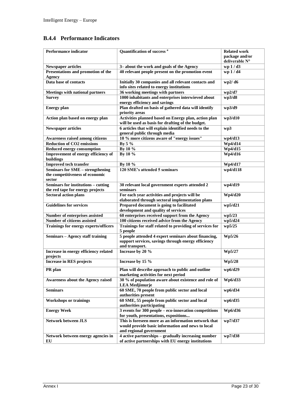# **B.4.4 Performance Indicators**

| Performance indicator                                                      | Quantification of success <sup>a</sup>                                                                                        | <b>Related work</b><br>package and/or<br>deliverable N° |  |  |  |  |
|----------------------------------------------------------------------------|-------------------------------------------------------------------------------------------------------------------------------|---------------------------------------------------------|--|--|--|--|
| <b>Newspaper articles</b>                                                  | 3-about the work and goals of the Agency                                                                                      | wp 1 / d3                                               |  |  |  |  |
| Presentations and promotion of the<br><b>Agency</b>                        | 40 relevant people present on the promotion event                                                                             | wp 1 / d4                                               |  |  |  |  |
| Data base of contacts                                                      | Initially 30 companies and all relevant contacts and<br>info sites related to energy institutions                             | wp2/d6                                                  |  |  |  |  |
| <b>Meetings with national partners</b>                                     | 36 working meetings with partners                                                                                             | wp2/d7                                                  |  |  |  |  |
| <b>Survey</b>                                                              | 1000 inhabitants and enterprises interwieved about<br>energy efficiency and savings                                           | wp3/d8                                                  |  |  |  |  |
| <b>Energy plan</b>                                                         | Plan drafted on basis of gathered data will identify<br>priority areas                                                        | wp3/d9                                                  |  |  |  |  |
| Action plan based on energy plan                                           | Activities planned based on Energy plan, action plan<br>will be used as basis for drafting of the budget.                     | wp3/d10                                                 |  |  |  |  |
| <b>Newspaper articles</b>                                                  | 6 articles that will explain identified needs to the<br>general public through media                                          | wp3                                                     |  |  |  |  |
| Awareness raised among citizens                                            | 10 % more citizens aware of "energy issues"                                                                                   | wp4/d13                                                 |  |  |  |  |
| <b>Reduction of CO2 emissions</b>                                          | By 5 %                                                                                                                        | Wp4/d14                                                 |  |  |  |  |
| <b>Reduced energy consumption</b>                                          | By 10 %                                                                                                                       | Wp4/d15                                                 |  |  |  |  |
| Improvement of energy efficiency of<br>buildings                           | By 10 %                                                                                                                       | Wp4/d16                                                 |  |  |  |  |
| <b>Improved tech transfer</b>                                              | By 10 %                                                                                                                       | Wp4/d17                                                 |  |  |  |  |
| <b>Seminars for SME - strengthening</b><br>the competitiveness of economic | 120 SME's attended 5 seminars                                                                                                 | wp4/d118                                                |  |  |  |  |
| sector                                                                     |                                                                                                                               |                                                         |  |  |  |  |
| Seminars for institutions - cutting<br>the red tape for energy projects    | 30 relevant local government experts attended 2<br>seminars                                                                   | wp4/d19                                                 |  |  |  |  |
| <b>Sectoral action plans</b>                                               | For each year activities and projects will be<br>elaborated through sectoral implementation plans                             | Wp4/d20                                                 |  |  |  |  |
| <b>Guidelines for services</b>                                             | Prepared document is going to facilitated<br>development and quality of services                                              | wp5/d21                                                 |  |  |  |  |
| Number of enterprises assisted                                             | 60 enterprises received support from the Agency                                                                               | wp5/23                                                  |  |  |  |  |
| <b>Number of citizens assisted</b>                                         | 100 citizens received advice from the Agency                                                                                  | wp5/d24                                                 |  |  |  |  |
| Trainings for energy experts/officers                                      | Trainings for staff related to providing of services for<br>5 people                                                          | wp5/25                                                  |  |  |  |  |
| Seminars - Agency staff training                                           | 5 people attended 4 expert seminars about financing,<br>support services, savings through energy efficiency<br>and transport. | Wp5/26                                                  |  |  |  |  |
| Increase in energy efficiency related<br>projects                          | Increase by 20 $\%$                                                                                                           | Wp5/27                                                  |  |  |  |  |
| <b>Increase in RES projects</b>                                            | Increase by 15 %                                                                                                              | Wp5/28                                                  |  |  |  |  |
| PR plan                                                                    | Plan will describe approach to public and outline<br>marketing activities for next period                                     | wp6/d29                                                 |  |  |  |  |
| <b>Awareness about the Agency raised</b>                                   | 30 % of population aware about existence and role of<br><b>LEA</b> Medjimurje                                                 | Wp6/d33                                                 |  |  |  |  |
| <b>Seminars</b>                                                            | 60 SME, 70 people from public sector and local<br>authorities present                                                         | wp6/d34                                                 |  |  |  |  |
| <b>Workshops or trainings</b>                                              | 60 SME, 55 people from public sector and local<br>authorities participating                                                   | wp6/d35                                                 |  |  |  |  |
| <b>Energy Week</b>                                                         | 3 events for 300 people - eco-innovation competitions<br>for youth, presentations, expositions                                | Wp6/d36                                                 |  |  |  |  |
| <b>Network between JLS</b>                                                 | This is foreseen more as an information network that<br>would provide basic information and news to local                     | wp7/d37                                                 |  |  |  |  |
|                                                                            | and regional government                                                                                                       |                                                         |  |  |  |  |
| Network between energy agencies in<br>EU                                   | 4 active partnerships - gradually increasing number<br>of active partnerships with EU energy institutions                     | wp7/d38                                                 |  |  |  |  |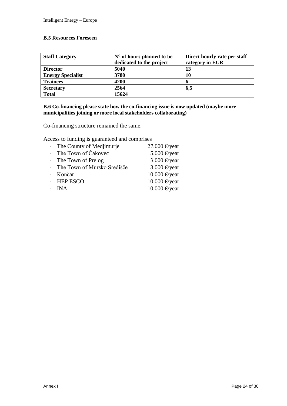# **B.5 Resources Foreseen**

| <b>Staff Category</b>    | $No$ of hours planned to be | Direct hourly rate per staff |  |  |  |  |  |  |
|--------------------------|-----------------------------|------------------------------|--|--|--|--|--|--|
|                          | dedicated to the project    | category in EUR              |  |  |  |  |  |  |
| <b>Director</b>          | 5040                        | 13                           |  |  |  |  |  |  |
| <b>Energy Specialist</b> | 3780                        | 10                           |  |  |  |  |  |  |
| <b>Trainees</b>          | 4200                        |                              |  |  |  |  |  |  |
| <b>Secretary</b>         | 2564                        | 6,5                          |  |  |  |  |  |  |
| <b>Total</b>             | 15624                       |                              |  |  |  |  |  |  |

# **B.6 Co-financing please state how the co-financing issue is now updated (maybe more municipalities joining or more local stakeholders collaborating)**

Co-financing structure remained the same.

Access to funding is guaranteed and comprises

| · The County of Mediimurje    | 27.000 €/year |
|-------------------------------|---------------|
| · The Town of Čakovec         | 5.000 €/year  |
| $\cdot$ The Town of Prelog    | 3.000 €/year  |
| · The Town of Mursko Središče | 3.000 €/year  |
| Končar                        | 10.000 €/year |
| $\cdot$ HEP ESCO              | 10.000 €/year |
| <b>INA</b>                    | 10.000 €/year |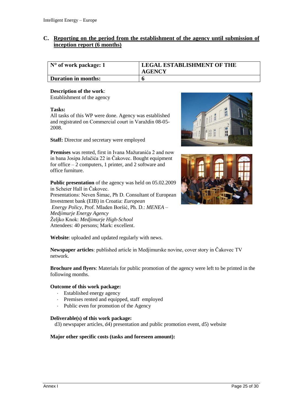# **C. Reporting on the period from the establishment of the agency until submission of inception report (6 months)**

| $\vert$ N° of work package: 1 | <b>LEGAL ESTABLISHMENT OF THE</b><br><b>AGENCY</b> |
|-------------------------------|----------------------------------------------------|
| <b>Duration in months:</b>    |                                                    |

#### **Description of the work**:

Establishment of the agency

#### **Tasks:**

All tasks of this WP were done. Agency was established and registrated on Commercial court in Varaždin 08-05- 2008.

**Staff:** Director and secretary were employed

**Premises** was rented, first in Ivana Mažuranića 2 and now in bana Josipa Jelačića 22 in Čakovec. Bought equipment for office – 2 computers, 1 printer, and 2 software and office furniture.

**Public presentation** of the agency was held on 05.02.2009 in Scheier Hall in Čakovec. Presentations: Neven Šimac, Ph D. Consultant of European Investment bank (EIB) in Croatia: *European Energy Policy*, Prof. Mladen Boršić, Ph. D.: *MENEA – Medjimurje Energy Agency* Željko Knok: *Medjimurje High-School* Attendees: 40 persons; Mark: excellent.





**Website**: uploaded and updated regularly with news.

**Newspaper articles**: published article in Medjimurske novine, cover story in Čakovec TV network.

**Brochure and flyers**: Materials for public promotion of the agency were left to be printed in the following months.

#### **Outcome of this work package:**

- Established energy agency
- Premises rented and equipped, staff employed
- Public even for promotion of the Agency

#### **Deliverable(s) of this work package:**

d3) newspaper articles, d4) presentation and public promotion event, d5) website

#### **Major other specific costs (tasks and foreseen amount):**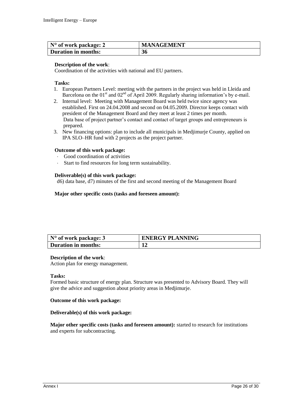| $\vert$ N° of work package: 2 | <b>MANAGEMENT</b> |
|-------------------------------|-------------------|
| <b>Duration in months:</b>    | 36                |

#### **Description of the work**:

Coordination of the activities with national and EU partners.

#### **Tasks:**

- 1. European Partners Level: meeting with the partners in the project was held in Lleida and Barcelona on the  $01<sup>st</sup>$  and  $02<sup>nd</sup>$  of April 2009. Regularly sharing information's by e-mail.
- 2. Internal level: Meeting with Management Board was held twice since agency was established. First on 24.04.2008 and second on 04.05.2009. Director keeps contact with president of the Management Board and they meet at least 2 times per month. Data base of project partner's contact and contact of target groups and entrepreneurs is prepared.
- 3. New financing options: plan to include all municipals in Medjimurje County, applied on IPA SLO–HR fund with 2 projects as the project partner.

#### **Outcome of this work package:**

- Good coordination of activities
- Start to find resources for long term sustainability.

#### **Deliverable(s) of this work package:**

d6) data base, d7) minutes of the first and second meeting of the Management Board

#### **Major other specific costs (tasks and foreseen amount):**

| $\vert$ N° of work package: 3 | <b>ENERGY PLANNING</b> |
|-------------------------------|------------------------|
| Duration in months:           |                        |

#### **Description of the work**:

Action plan for energy management.

#### **Tasks:**

Formed basic structure of energy plan. Structure was presented to Advisory Board. They will give the advice and suggestion about priority areas in Medjimurje.

#### **Outcome of this work package:**

#### **Deliverable(s) of this work package:**

**Major other specific costs (tasks and foreseen amount):** started to research for institutions and experts for subcontracting.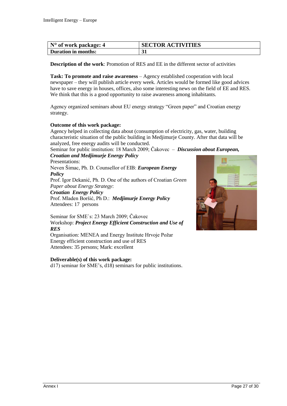| $\vert$ N° of work package: 4 | <b>SECTOR ACTIVITIES</b> |
|-------------------------------|--------------------------|
| <b>Duration in months:</b>    |                          |

**Description of the work**: Promotion of RES and EE in the different sector of activities

**Task: To promote and raise awareness** – Agency established cooperation with local newspaper – they will publish article every week. Articles would be formed like good advices have to save energy in houses, offices, also some interesting news on the field of EE and RES. We think that this is a good opportunity to raise awareness among inhabitants.

Agency organized seminars about EU energy strategy "Green paper" and Croatian energy strategy.

#### **Outcome of this work package:**

Agency helped in collecting data about (consumption of electricity, gas, water, building characteristic situation of the public building in Medjimurje County. After that data will be analyzed, free energy audits will be conducted.

Seminar for public institution: 18 March 2009; Čakovec – *Discussion about European,* 

#### *Croatian and Medjimurje Energy Policy*

Presentations:

Neven Šimac, Ph. D. Counsellor of EIB: *European Energy Policy*

Prof. Igor Dekanić, Ph. D. One of the authors of Croatian *Green Paper about Energy Strategy*:

*Croatian Energy Policy*

Prof. Mladen Boršić, Ph D.: *Medjimurje Energy Policy* Attendees: 17 persons

Seminar for SME`s: 23 March 2009; Čakovec Workshop: *Project Energy Efficient Construction and Use of RES*

Organisation: MENEA and Energy Institute Hrvoje Požar Energy efficient construction and use of RES Attendees: 35 persons; Mark: excellent

#### **Deliverable(s) of this work package:**

d17) seminar for SME's, d18) seminars for public institutions.

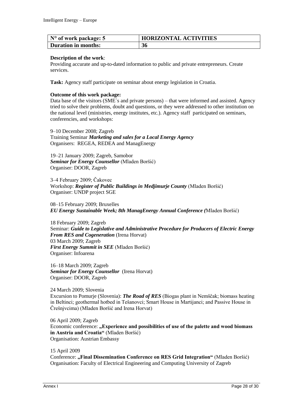| $\vert$ N° of work package: 5 | <b>HORIZONTAL ACTIVITIES</b> |
|-------------------------------|------------------------------|
| Duration in months:           | 36                           |

#### **Description of the work**:

Providing accurate and up-to-dated information to public and private entrepreneurs. Create services.

Task: Agency staff participate on seminar about energy legislation in Croatia.

#### **Outcome of this work package:**

Data base of the visitors (SME`s and private persons) – that were informed and assisted. Agency tried to solve their problems, doubt and questions, or they were addressed to other institution on the national level (ministries, energy institutes, etc.). Agency staff participated on seminars, conferencies, and workshops:

9–10 December 2008; Zagreb Training Seminar *Marketing and sales for a Local Energy Agency* Organisers: REGEA, REDEA and ManagEnergy

19–21 January 2009; Zagreb, Samobor *Seminar for Energy Counsellor* (Mladen Boršić) Organiser: DOOR, Zagreb

3–4 February 2009; Čakovec Workshop: *Register of Public Buildings in Medjimurje County* (Mladen Boršić) Organiser: UNDP project SGE

08–15 February 2009; Bruxelles *EU Energy Sustainable Week; 8th ManagEnergy Annual Conference (*Mladen Boršić)

18 February 2009; Zagreb Seminar: *Guide to Legislative and Administrative Procedure for Producers of Electric Energy From RES and Cogeneration* (Irena Horvat) 03 March 2009; Zagreb *First Energy Summit in SEE* (Mladen Boršić) Organiser: Infoarena

16–18 March 2009; Zagreb *Seminar for Energy Counsellor* (Irena Horvat) Organiser: DOOR, Zagreb

24 March 2009; Slovenia Excursion to Pomurje (Slovenia): *The Road of RES* (Biogas plant in Nemščak; biomass heating in Beltinci; geothermal hotbed in Tešanovci; Smart House in Martijanci; and Passive House in Črešnjvcima) (Mladen Boršić and Irena Horvat)

06 April 2009; Zagreb Economic conference: "Experience and possibilities of use of the palette and wood biomass **in Austria and Croatia"** (Mladen Boršić) Organisation: Austrian Embassy

15 April 2009 Conference: **"Final Dissemination Conference on RES Grid Integration"** (Mladen Boršić) Organisation: Faculty of Electrical Engineering and Computing University of Zagreb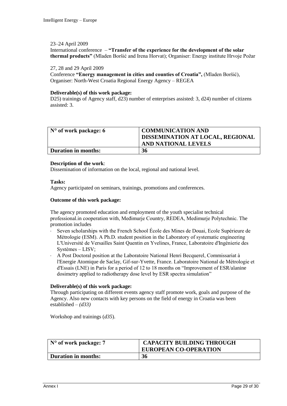#### 23–24 April 2009

International conference – **"Transfer of the experience for the development of the solar thermal products"** (Mladen Boršić and Irena Horvat); Organiser: Energy institute Hrvoje Požar

#### 27, 28 and 29 April 2009

Conference **"Energy management in cities and counties of Croatia",** (Mladen Boršić), Organiser: North-West Croatia Regional Energy Agency – REGEA

#### **Deliverable(s) of this work package:**

D25) trainings of Agency staff, d23) number of enterprises assisted: 3, d24) number of citizens assisted: 3.

| $\vert$ N° of work package: 6 | <b>COMMUNICATION AND</b><br>DISSEMINATION AT LOCAL, REGIONAL<br>AND NATIONAL LEVELS |
|-------------------------------|-------------------------------------------------------------------------------------|
| Duration in months:           | 36                                                                                  |

#### **Description of the work**:

Dissemination of information on the local, regional and national level.

#### **Tasks:**

Agency participated on seminars, trainings, promotions and conferences.

#### **Outcome of this work package:**

The agency promoted education and employment of the youth specialist technical professional.in cooperation with, Međimurje Country, REDEA, Medimurje Polytechnic. The promotion includes

- Seven scholarships with the French School École des Mines de Douai, Ecole Supérieure de Métrologie (ESM). A Ph.D. student position in the Laboratory of systematic engineering L'Université de Versailles Saint Quentin en Yvelines, France, Laboratoire d'Ingénierie des Systèmes – LISV;
- A Post Doctoral position at the Laboratoire National Henri Becquerel, Commissariat à l'Energie Atomique de Saclay, Gif-sur-Yvette, France. Laboratoire National de Métrologie et d'Essais (LNE) in Paris for a period of 12 to 18 months on "Improvement of ESR/alanine dosimetry applied to radiotherapy dose level by ESR spectra simulation"

#### **Deliverable(s) of this work package:**

Through participating on different events agency staff promote work, goals and purpose of the Agency. Also new contacts with key persons on the field of energy in Croatia was been established – *(d33)*

Workshop and trainings (*d35*).

| N° of work package: 7      | <b>CAPACITY BUILDING THROUGH</b><br><b>EUROPEAN CO-OPERATION</b> |
|----------------------------|------------------------------------------------------------------|
| <b>Duration in months:</b> | 36                                                               |